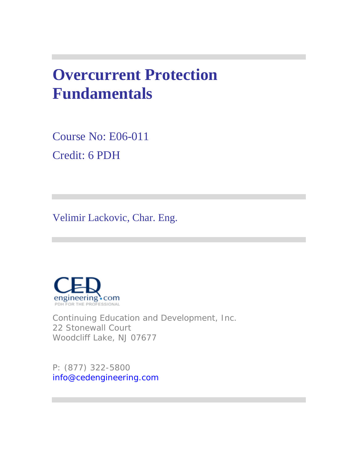# **Overcurrent Protection Fundamentals**

Course No: E06-011 Credit: 6 PDH

Velimir Lackovic, Char. Eng.



Continuing Education and Development, Inc. 22 Stonewall Court Woodcliff Lake, NJ 07677

P: (877) 322-5800 info@cedengineering.com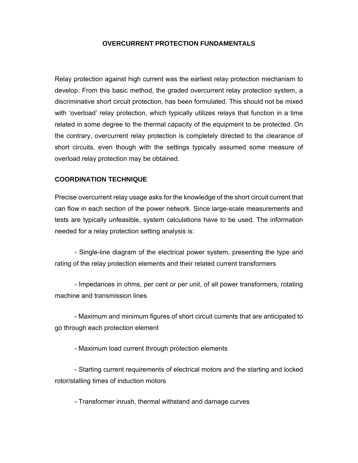#### **OVERCURRENT PROTECTION FUNDAMENTALS**

Relay protection against high current was the earliest relay protection mechanism to develop. From this basic method, the graded overcurrent relay protection system, a discriminative short circuit protection, has been formulated. This should not be mixed with 'overload' relay protection, which typically utilizes relays that function in a time related in some degree to the thermal capacity of the equipment to be protected. On the contrary, overcurrent relay protection is completely directed to the clearance of short circuits, even though with the settings typically assumed some measure of overload relay protection may be obtained.

#### **COORDINATION TECHNIQUE**

Precise overcurrent relay usage asks for the knowledge of the short circuit current that can flow in each section of the power network. Since large-scale measurements and tests are typically unfeasible, system calculations have to be used. The information needed for a relay protection setting analysis is:

- Single-line diagram of the electrical power system, presenting the type and rating of the relay protection elements and their related current transformers

- Impedances in ohms, per cent or per unit, of all power transformers, rotating machine and transmission lines

- Maximum and minimum figures of short circuit currents that are anticipated to go through each protection element

- Maximum load current through protection elements

- Starting current requirements of electrical motors and the starting and locked rotor/stalling times of induction motors

- Transformer inrush, thermal withstand and damage curves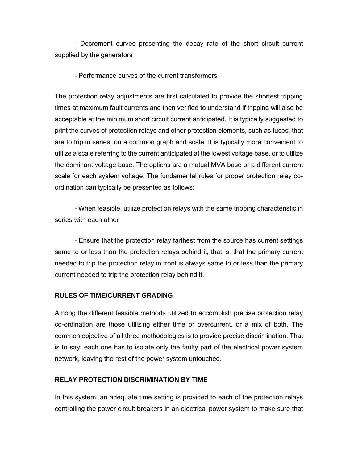- Decrement curves presenting the decay rate of the short circuit current supplied by the generators

#### - Performance curves of the current transformers

The protection relay adjustments are first calculated to provide the shortest tripping times at maximum fault currents and then verified to understand if tripping will also be acceptable at the minimum short circuit current anticipated. It is typically suggested to print the curves of protection relays and other protection elements, such as fuses, that are to trip in series, on a common graph and scale. It is typically more convenient to utilize a scale referring to the current anticipated at the lowest voltage base, or to utilize the dominant voltage base. The options are a mutual MVA base or a different current scale for each system voltage. The fundamental rules for proper protection relay coordination can typically be presented as follows:

- When feasible, utilize protection relays with the same tripping characteristic in series with each other

- Ensure that the protection relay farthest from the source has current settings same to or less than the protection relays behind it, that is, that the primary current needed to trip the protection relay in front is always same to or less than the primary current needed to trip the protection relay behind it.

#### **RULES OF TIME/CURRENT GRADING**

Among the different feasible methods utilized to accomplish precise protection relay co-ordination are those utilizing either time or overcurrent, or a mix of both. The common objective of all three methodologies is to provide precise discrimination. That is to say, each one has to isolate only the faulty part of the electrical power system network, leaving the rest of the power system untouched.

# **RELAY PROTECTION DISCRIMINATION BY TIME**

In this system, an adequate time setting is provided to each of the protection relays controlling the power circuit breakers in an electrical power system to make sure that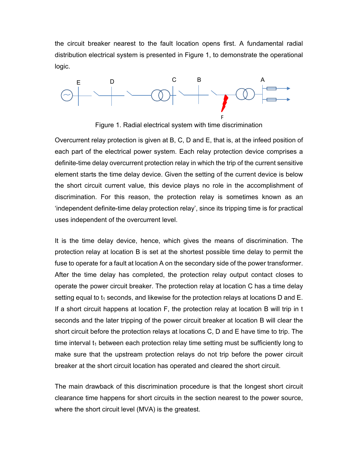the circuit breaker nearest to the fault location opens first. A fundamental radial distribution electrical system is presented in Figure 1, to demonstrate the operational logic.



Figure 1. Radial electrical system with time discrimination

Overcurrent relay protection is given at B, C, D and E, that is, at the infeed position of each part of the electrical power system. Each relay protection device comprises a definite-time delay overcurrent protection relay in which the trip of the current sensitive element starts the time delay device. Given the setting of the current device is below the short circuit current value, this device plays no role in the accomplishment of discrimination. For this reason, the protection relay is sometimes known as an 'independent definite-time delay protection relay', since its tripping time is for practical uses independent of the overcurrent level.

It is the time delay device, hence, which gives the means of discrimination. The protection relay at location B is set at the shortest possible time delay to permit the fuse to operate for a fault at location A on the secondary side of the power transformer. After the time delay has completed, the protection relay output contact closes to operate the power circuit breaker. The protection relay at location C has a time delay setting equal to  $t_1$  seconds, and likewise for the protection relays at locations D and E. If a short circuit happens at location F, the protection relay at location B will trip in t seconds and the later tripping of the power circuit breaker at location B will clear the short circuit before the protection relays at locations C, D and E have time to trip. The time interval  $t_1$  between each protection relay time setting must be sufficiently long to make sure that the upstream protection relays do not trip before the power circuit breaker at the short circuit location has operated and cleared the short circuit.

The main drawback of this discrimination procedure is that the longest short circuit clearance time happens for short circuits in the section nearest to the power source, where the short circuit level (MVA) is the greatest.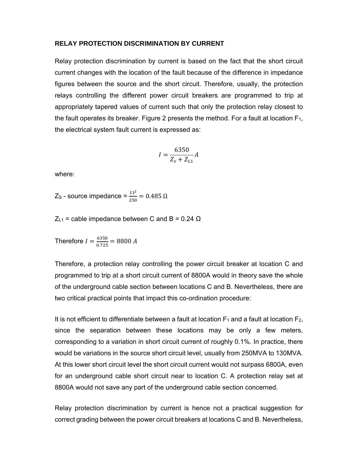#### **RELAY PROTECTION DISCRIMINATION BY CURRENT**

Relay protection discrimination by current is based on the fact that the short circuit current changes with the location of the fault because of the difference in impedance figures between the source and the short circuit. Therefore, usually, the protection relays controlling the different power circuit breakers are programmed to trip at appropriately tapered values of current such that only the protection relay closest to the fault operates its breaker. Figure 2 presents the method. For a fault at location  $F_1$ , the electrical system fault current is expressed as:

$$
I = \frac{6350}{Z_s + Z_{L1}} A
$$

where:

 $Z_{\rm S}$  - source impedance =  $\frac{11^2}{250}$  = 0.485 Ω

 $Z_{L1}$  = cable impedance between C and B = 0.24  $\Omega$ 

Therefore  $I = \frac{6350}{0.725} = 8800 A$ 

Therefore, a protection relay controlling the power circuit breaker at location C and programmed to trip at a short circuit current of 8800A would in theory save the whole of the underground cable section between locations C and B. Nevertheless, there are two critical practical points that impact this co-ordination procedure:

It is not efficient to differentiate between a fault at location  $F_1$  and a fault at location  $F_2$ , since the separation between these locations may be only a few meters, corresponding to a variation in short circuit current of roughly 0.1%. In practice, there would be variations in the source short circuit level, usually from 250MVA to 130MVA. At this lower short circuit level the short circuit current would not surpass 6800A, even for an underground cable short circuit near to location C. A protection relay set at 8800A would not save any part of the underground cable section concerned.

Relay protection discrimination by current is hence not a practical suggestion for correct grading between the power circuit breakers at locations C and B. Nevertheless,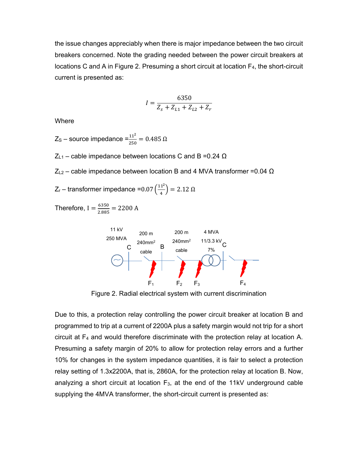the issue changes appreciably when there is major impedance between the two circuit breakers concerned. Note the grading needed between the power circuit breakers at locations C and A in Figure 2. Presuming a short circuit at location  $F_4$ , the short-circuit current is presented as:

$$
I = \frac{6350}{Z_s + Z_{L1} + Z_{L2} + Z_r}
$$

**Where** 

 $Z_{\rm S}$  – source impedance  $=$  $\frac{11^2}{250}$  = 0.485 Ω

 $Z_{L1}$  – cable impedance between locations C and B = 0.24 Ω

 $Z_{L2}$  – cable impedance between location B and 4 MVA transformer = 0.04 Ω

$$
Z_r
$$
 – transformer impedance =0.07  $\left(\frac{11^2}{4}\right)$  = 2.12  $\Omega$ 

Therefore,  $I = \frac{6350}{2.885} = 2200$  A



Figure 2. Radial electrical system with current discrimination

Due to this, a protection relay controlling the power circuit breaker at location B and programmed to trip at a current of 2200A plus a safety margin would not trip for a short circuit at F4 and would therefore discriminate with the protection relay at location A. Presuming a safety margin of 20% to allow for protection relay errors and a further 10% for changes in the system impedance quantities, it is fair to select a protection relay setting of 1.3x2200A, that is, 2860A, for the protection relay at location B. Now, analyzing a short circuit at location  $F_3$ , at the end of the 11kV underground cable supplying the 4MVA transformer, the short-circuit current is presented as: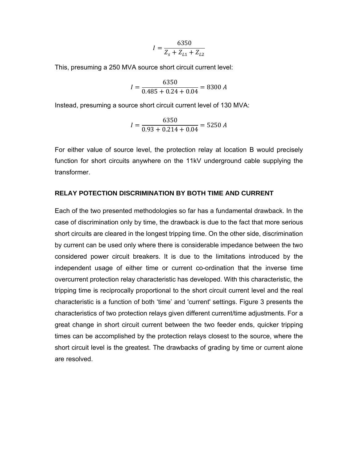$$
I = \frac{6350}{Z_s + Z_{L1} + Z_{L2}}
$$

This, presuming a 250 MVA source short circuit current level:

$$
I = \frac{6350}{0.485 + 0.24 + 0.04} = 8300 A
$$

Instead, presuming a source short circuit current level of 130 MVA:

$$
I = \frac{6350}{0.93 + 0.214 + 0.04} = 5250 A
$$

For either value of source level, the protection relay at location B would precisely function for short circuits anywhere on the 11kV underground cable supplying the transformer.

#### **RELAY POTECTION DISCRIMINATION BY BOTH TIME AND CURRENT**

Each of the two presented methodologies so far has a fundamental drawback. In the case of discrimination only by time, the drawback is due to the fact that more serious short circuits are cleared in the longest tripping time. On the other side, discrimination by current can be used only where there is considerable impedance between the two considered power circuit breakers. It is due to the limitations introduced by the independent usage of either time or current co-ordination that the inverse time overcurrent protection relay characteristic has developed. With this characteristic, the tripping time is reciprocally proportional to the short circuit current level and the real characteristic is a function of both 'time' and 'current' settings. Figure 3 presents the characteristics of two protection relays given different current/time adjustments. For a great change in short circuit current between the two feeder ends, quicker tripping times can be accomplished by the protection relays closest to the source, where the short circuit level is the greatest. The drawbacks of grading by time or current alone are resolved.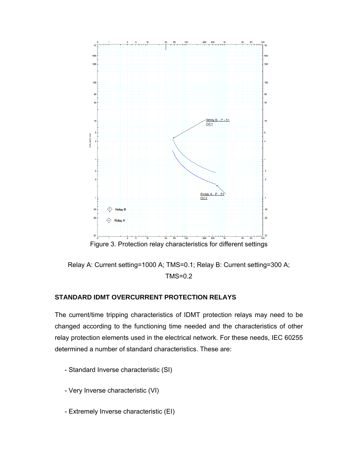

Relay A: Current setting=1000 A; TMS=0.1; Relay B: Current setting=300 A; TMS=0.2

# **STANDARD IDMT OVERCURRENT PROTECTION RELAYS**

The current/time tripping characteristics of IDMT protection relays may need to be changed according to the functioning time needed and the characteristics of other relay protection elements used in the electrical network. For these needs, IEC 60255 determined a number of standard characteristics. These are:

- Standard Inverse characteristic (SI)
- Very Inverse characteristic (VI)
- Extremely Inverse characteristic (EI)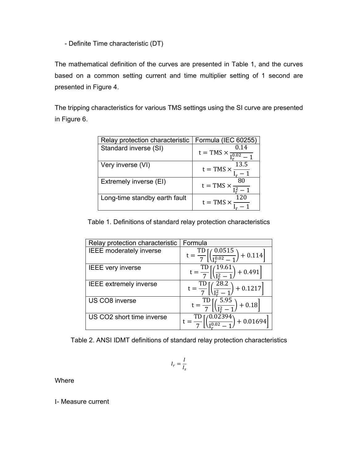- Definite Time characteristic (DT)

The mathematical definition of the curves are presented in Table 1, and the curves based on a common setting current and time multiplier setting of 1 second are presented in Figure 4.

The tripping characteristics for various TMS settings using the SI curve are presented in Figure 6.

| Relay protection characteristic | Formula (IEC 60255)                                         |
|---------------------------------|-------------------------------------------------------------|
| Standard inverse (SI)           | 0.14<br>$t = TMS \times \frac{0.14}{I_{\infty}^{0.02} - 1}$ |
| Very inverse (VI)               | $\frac{13.5}{t = \text{TMS} \times \frac{13.5}{t - 1}}$     |
| Extremely inverse (EI)          | $t = TMS \times \frac{80}{I_r^2 - 1}$                       |
| Long-time standby earth fault   | $t = TMS \times$                                            |

Table 1. Definitions of standard relay protection characteristics

| Relay protection characteristic | Formula                                                                        |
|---------------------------------|--------------------------------------------------------------------------------|
| <b>IEEE</b> moderately inverse  | $\frac{TD}{7}\left[\left(\frac{0.0515}{1^{0.02}-1}\right)\right]$<br>$+ 0.114$ |
| <b>IEEE</b> very inverse        | (19.61)<br>$+0.491$                                                            |
| <b>IEEE</b> extremely inverse   | $28.2^{\circ}$<br>$+0.1217$                                                    |
| US CO8 inverse                  | $\frac{1}{2}$ 5.95<br>$t = \frac{TD}{7}$<br>$+0.18$<br>$\sqrt{I^2 -}$          |
| US CO2 short time inverse       | (0.02394)<br>$+0.01694$                                                        |

Table 2. ANSI IDMT definitions of standard relay protection characteristics

$$
I_r = \frac{I}{I_s}
$$

Where

I- Measure current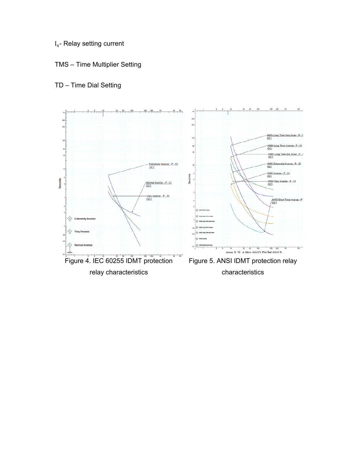- I<sub>s</sub>- Relay setting current
- TMS Time Multiplier Setting

# TD – Time Dial Setting

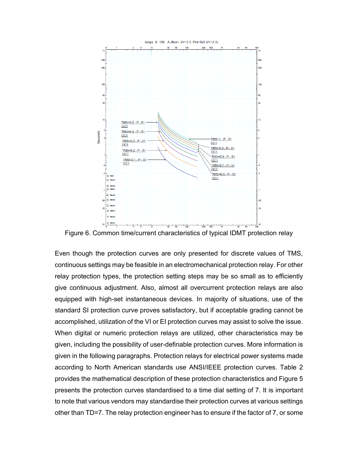

Figure 6. Common time/current characteristics of typical IDMT protection relay

Even though the protection curves are only presented for discrete values of TMS, continuous settings may be feasible in an electromechanical protection relay. For other relay protection types, the protection setting steps may be so small as to efficiently give continuous adjustment. Also, almost all overcurrent protection relays are also equipped with high-set instantaneous devices. In majority of situations, use of the standard SI protection curve proves satisfactory, but if acceptable grading cannot be accomplished, utilization of the VI or EI protection curves may assist to solve the issue. When digital or numeric protection relays are utilized, other characteristics may be given, including the possibility of user-definable protection curves. More information is given in the following paragraphs. Protection relays for electrical power systems made according to North American standards use ANSI/IEEE protection curves. Table 2 provides the mathematical description of these protection characteristics and Figure 5 presents the protection curves standardised to a time dial setting of 7. It is important to note that various vendors may standardise their protection curves at various settings other than TD=7. The relay protection engineer has to ensure if the factor of 7, or some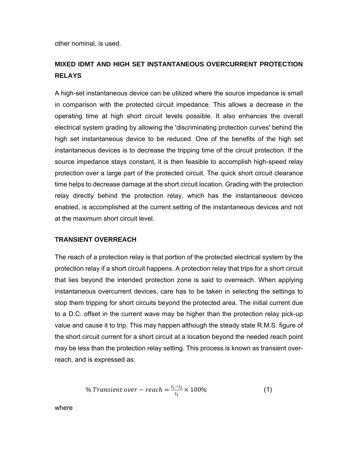other nominal, is used.

# **MIXED IDMT AND HIGH SET INSTANTANEOUS OVERCURRENT PROTECTION RELAYS**

A high-set instantaneous device can be utilized where the source impedance is small in comparison with the protected circuit impedance. This allows a decrease in the operating time at high short circuit levels possible. It also enhances the overall electrical system grading by allowing the 'discriminating protection curves' behind the high set instantaneous device to be reduced. One of the benefits of the high set instantaneous devices is to decrease the tripping time of the circuit protection. If the source impedance stays constant, it is then feasible to accomplish high-speed relay protection over a large part of the protected circuit. The quick short circuit clearance time helps to decrease damage at the short circuit location. Grading with the protection relay directly behind the protection relay, which has the instantaneous devices enabled, is accomplished at the current setting of the instantaneous devices and not at the maximum short circuit level.

#### **TRANSIENT OVERREACH**

The reach of a protection relay is that portion of the protected electrical system by the protection relay if a short circuit happens. A protection relay that trips for a short circuit that lies beyond the intended protection zone is said to overreach. When applying instantaneous overcurrent devices, care has to be taken in selecting the settings to stop them tripping for short circuits beyond the protected area. The initial current due to a D.C. offset in the current wave may be higher than the protection relay pick-up value and cause it to trip. This may happen although the steady state R.M.S. figure of the short circuit current for a short circuit at a location beyond the needed reach point may be less than the protection relay setting. This process is known as transient overreach, and is expressed as:

% *Transient over – reach* = 
$$
\frac{I_1 - I_2}{I_2} \times 100\%
$$
 (1)

where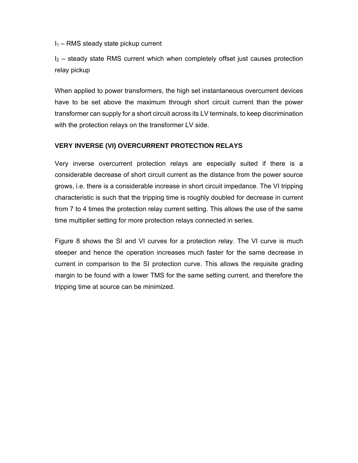$I_1$  – RMS steady state pickup current

 $I_2$  – steady state RMS current which when completely offset just causes protection relay pickup

When applied to power transformers, the high set instantaneous overcurrent devices have to be set above the maximum through short circuit current than the power transformer can supply for a short circuit across its LV terminals, to keep discrimination with the protection relays on the transformer LV side.

# **VERY INVERSE (VI) OVERCURRENT PROTECTION RELAYS**

Very inverse overcurrent protection relays are especially suited if there is a considerable decrease of short circuit current as the distance from the power source grows, i.e. there is a considerable increase in short circuit impedance. The VI tripping characteristic is such that the tripping time is roughly doubled for decrease in current from 7 to 4 times the protection relay current setting. This allows the use of the same time multiplier setting for more protection relays connected in series.

Figure 8 shows the SI and VI curves for a protection relay. The VI curve is much steeper and hence the operation increases much faster for the same decrease in current in comparison to the SI protection curve. This allows the requisite grading margin to be found with a lower TMS for the same setting current, and therefore the tripping time at source can be minimized.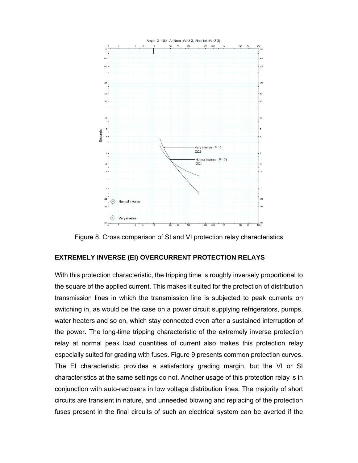

Figure 8. Cross comparison of SI and VI protection relay characteristics

#### **EXTREMELY INVERSE (EI) OVERCURRENT PROTECTION RELAYS**

With this protection characteristic, the tripping time is roughly inversely proportional to the square of the applied current. This makes it suited for the protection of distribution transmission lines in which the transmission line is subjected to peak currents on switching in, as would be the case on a power circuit supplying refrigerators, pumps, water heaters and so on, which stay connected even after a sustained interruption of the power. The long-time tripping characteristic of the extremely inverse protection relay at normal peak load quantities of current also makes this protection relay especially suited for grading with fuses. Figure 9 presents common protection curves. The EI characteristic provides a satisfactory grading margin, but the VI or SI characteristics at the same settings do not. Another usage of this protection relay is in conjunction with auto-reclosers in low voltage distribution lines. The majority of short circuits are transient in nature, and unneeded blowing and replacing of the protection fuses present in the final circuits of such an electrical system can be averted if the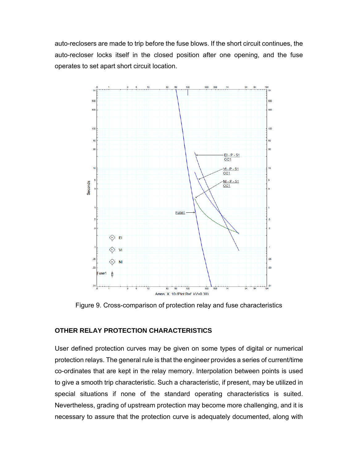auto-reclosers are made to trip before the fuse blows. If the short circuit continues, the auto-recloser locks itself in the closed position after one opening, and the fuse operates to set apart short circuit location.



Figure 9. Cross-comparison of protection relay and fuse characteristics

# **OTHER RELAY PROTECTION CHARACTERISTICS**

User defined protection curves may be given on some types of digital or numerical protection relays. The general rule is that the engineer provides a series of current/time co-ordinates that are kept in the relay memory. Interpolation between points is used to give a smooth trip characteristic. Such a characteristic, if present, may be utilized in special situations if none of the standard operating characteristics is suited. Nevertheless, grading of upstream protection may become more challenging, and it is necessary to assure that the protection curve is adequately documented, along with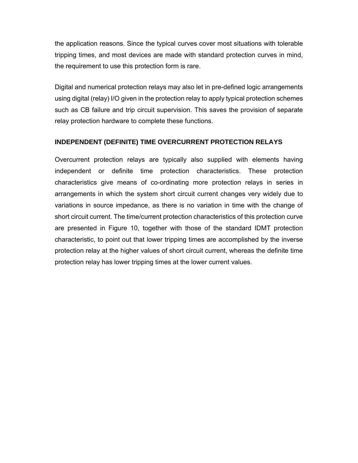the application reasons. Since the typical curves cover most situations with tolerable tripping times, and most devices are made with standard protection curves in mind, the requirement to use this protection form is rare.

Digital and numerical protection relays may also let in pre-defined logic arrangements using digital (relay) I/O given in the protection relay to apply typical protection schemes such as CB failure and trip circuit supervision. This saves the provision of separate relay protection hardware to complete these functions.

#### **INDEPENDENT (DEFINITE) TIME OVERCURRENT PROTECTION RELAYS**

Overcurrent protection relays are typically also supplied with elements having independent or definite time protection characteristics. These protection characteristics give means of co-ordinating more protection relays in series in arrangements in which the system short circuit current changes very widely due to variations in source impedance, as there is no variation in time with the change of short circuit current. The time/current protection characteristics of this protection curve are presented in Figure 10, together with those of the standard IDMT protection characteristic, to point out that lower tripping times are accomplished by the inverse protection relay at the higher values of short circuit current, whereas the definite time protection relay has lower tripping times at the lower current values.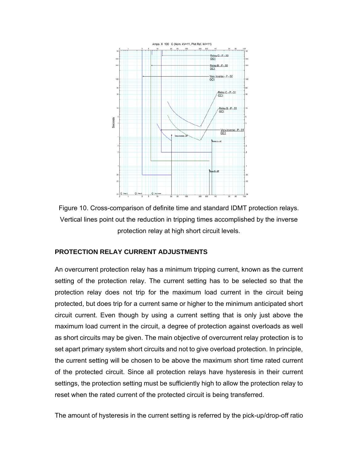

Figure 10. Cross-comparison of definite time and standard IDMT protection relays. Vertical lines point out the reduction in tripping times accomplished by the inverse protection relay at high short circuit levels.

#### **PROTECTION RELAY CURRENT ADJUSTMENTS**

An overcurrent protection relay has a minimum tripping current, known as the current setting of the protection relay. The current setting has to be selected so that the protection relay does not trip for the maximum load current in the circuit being protected, but does trip for a current same or higher to the minimum anticipated short circuit current. Even though by using a current setting that is only just above the maximum load current in the circuit, a degree of protection against overloads as well as short circuits may be given. The main objective of overcurrent relay protection is to set apart primary system short circuits and not to give overload protection. In principle, the current setting will be chosen to be above the maximum short time rated current of the protected circuit. Since all protection relays have hysteresis in their current settings, the protection setting must be sufficiently high to allow the protection relay to reset when the rated current of the protected circuit is being transferred.

The amount of hysteresis in the current setting is referred by the pick-up/drop-off ratio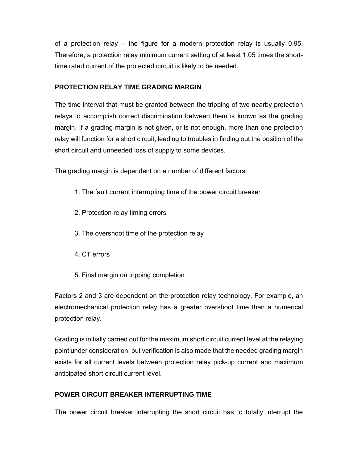of a protection relay – the figure for a modern protection relay is usually 0.95. Therefore, a protection relay minimum current setting of at least 1.05 times the shorttime rated current of the protected circuit is likely to be needed.

## **PROTECTION RELAY TIME GRADING MARGIN**

The time interval that must be granted between the tripping of two nearby protection relays to accomplish correct discrimination between them is known as the grading margin. If a grading margin is not given, or is not enough, more than one protection relay will function for a short circuit, leading to troubles in finding out the position of the short circuit and unneeded loss of supply to some devices.

The grading margin is dependent on a number of different factors:

- 1. The fault current interrupting time of the power circuit breaker
- 2. Protection relay timing errors
- 3. The overshoot time of the protection relay
- 4. CT errors
- 5. Final margin on tripping completion

Factors 2 and 3 are dependent on the protection relay technology. For example, an electromechanical protection relay has a greater overshoot time than a numerical protection relay.

Grading is initially carried out for the maximum short circuit current level at the relaying point under consideration, but verification is also made that the needed grading margin exists for all current levels between protection relay pick-up current and maximum anticipated short circuit current level.

# **POWER CIRCUIT BREAKER INTERRUPTING TIME**

The power circuit breaker interrupting the short circuit has to totally interrupt the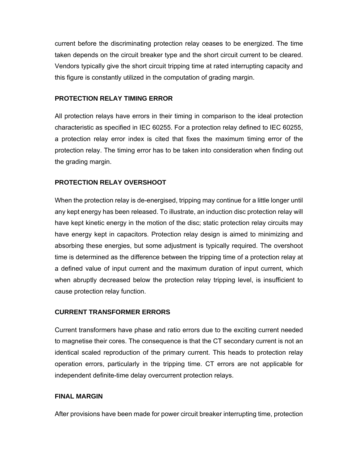current before the discriminating protection relay ceases to be energized. The time taken depends on the circuit breaker type and the short circuit current to be cleared. Vendors typically give the short circuit tripping time at rated interrupting capacity and this figure is constantly utilized in the computation of grading margin.

## **PROTECTION RELAY TIMING ERROR**

All protection relays have errors in their timing in comparison to the ideal protection characteristic as specified in IEC 60255. For a protection relay defined to IEC 60255, a protection relay error index is cited that fixes the maximum timing error of the protection relay. The timing error has to be taken into consideration when finding out the grading margin.

## **PROTECTION RELAY OVERSHOOT**

When the protection relay is de-energised, tripping may continue for a little longer until any kept energy has been released. To illustrate, an induction disc protection relay will have kept kinetic energy in the motion of the disc; static protection relay circuits may have energy kept in capacitors. Protection relay design is aimed to minimizing and absorbing these energies, but some adjustment is typically required. The overshoot time is determined as the difference between the tripping time of a protection relay at a defined value of input current and the maximum duration of input current, which when abruptly decreased below the protection relay tripping level, is insufficient to cause protection relay function.

#### **CURRENT TRANSFORMER ERRORS**

Current transformers have phase and ratio errors due to the exciting current needed to magnetise their cores. The consequence is that the CT secondary current is not an identical scaled reproduction of the primary current. This heads to protection relay operation errors, particularly in the tripping time. CT errors are not applicable for independent definite-time delay overcurrent protection relays.

#### **FINAL MARGIN**

After provisions have been made for power circuit breaker interrupting time, protection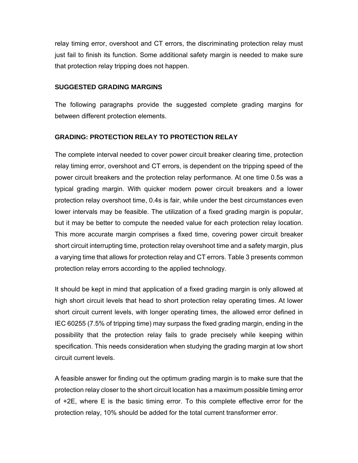relay timing error, overshoot and CT errors, the discriminating protection relay must just fail to finish its function. Some additional safety margin is needed to make sure that protection relay tripping does not happen.

#### **SUGGESTED GRADING MARGINS**

The following paragraphs provide the suggested complete grading margins for between different protection elements.

#### **GRADING: PROTECTION RELAY TO PROTECTION RELAY**

The complete interval needed to cover power circuit breaker clearing time, protection relay timing error, overshoot and CT errors, is dependent on the tripping speed of the power circuit breakers and the protection relay performance. At one time 0.5s was a typical grading margin. With quicker modern power circuit breakers and a lower protection relay overshoot time, 0.4s is fair, while under the best circumstances even lower intervals may be feasible. The utilization of a fixed grading margin is popular, but it may be better to compute the needed value for each protection relay location. This more accurate margin comprises a fixed time, covering power circuit breaker short circuit interrupting time, protection relay overshoot time and a safety margin, plus a varying time that allows for protection relay and CT errors. Table 3 presents common protection relay errors according to the applied technology.

It should be kept in mind that application of a fixed grading margin is only allowed at high short circuit levels that head to short protection relay operating times. At lower short circuit current levels, with longer operating times, the allowed error defined in IEC 60255 (7.5% of tripping time) may surpass the fixed grading margin, ending in the possibility that the protection relay fails to grade precisely while keeping within specification. This needs consideration when studying the grading margin at low short circuit current levels.

A feasible answer for finding out the optimum grading margin is to make sure that the protection relay closer to the short circuit location has a maximum possible timing error of +2E, where E is the basic timing error. To this complete effective error for the protection relay, 10% should be added for the total current transformer error.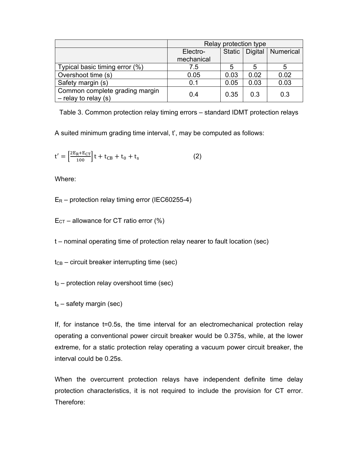|                                                          | Relay protection type  |        |                |           |  |  |
|----------------------------------------------------------|------------------------|--------|----------------|-----------|--|--|
|                                                          | Electro-<br>mechanical | Static | <b>Digital</b> | Numerical |  |  |
| Typical basic timing error (%)                           | 7.5                    | 5      | 5              |           |  |  |
| Overshoot time (s)                                       | 0.05                   | 0.03   | 0.02           | 0.02      |  |  |
| Safety margin (s)                                        | 0.1                    | 0.05   | 0.03           | 0.03      |  |  |
| Common complete grading margin<br>$-$ relay to relay (s) | 0.4                    | 0.35   | 0.3            | 0.3       |  |  |

Table 3. Common protection relay timing errors – standard IDMT protection relays

A suited minimum grading time interval, t', may be computed as follows:

$$
t' = \left[\frac{2E_R + E_{CT}}{100}\right]t + t_{CB} + t_0 + t_s
$$
 (2)

Where:

 $E_R$  – protection relay timing error (IEC60255-4)

 $E_{CT}$  – allowance for CT ratio error (%)

t – nominal operating time of protection relay nearer to fault location (sec)

 $t_{CB}$  – circuit breaker interrupting time (sec)

 $t_0$  – protection relay overshoot time (sec)

 $t_s$  – safety margin (sec)

If, for instance t=0.5s, the time interval for an electromechanical protection relay operating a conventional power circuit breaker would be 0.375s, while, at the lower extreme, for a static protection relay operating a vacuum power circuit breaker, the interval could be 0.25s.

When the overcurrent protection relays have independent definite time delay protection characteristics, it is not required to include the provision for CT error. Therefore: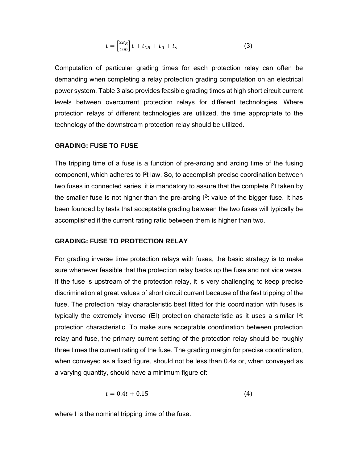$$
t = \left[\frac{2E_R}{100}\right]t + t_{CB} + t_0 + t_s \tag{3}
$$

Computation of particular grading times for each protection relay can often be demanding when completing a relay protection grading computation on an electrical power system. Table 3 also provides feasible grading times at high short circuit current levels between overcurrent protection relays for different technologies. Where protection relays of different technologies are utilized, the time appropriate to the technology of the downstream protection relay should be utilized.

#### **GRADING: FUSE TO FUSE**

The tripping time of a fuse is a function of pre-arcing and arcing time of the fusing component, which adheres to <sup>2</sup>t law. So, to accomplish precise coordination between two fuses in connected series, it is mandatory to assure that the complete  $I<sup>2</sup>t$  taken by the smaller fuse is not higher than the pre-arcing  $I<sup>2</sup>$ t value of the bigger fuse. It has been founded by tests that acceptable grading between the two fuses will typically be accomplished if the current rating ratio between them is higher than two.

#### **GRADING: FUSE TO PROTECTION RELAY**

For grading inverse time protection relays with fuses, the basic strategy is to make sure whenever feasible that the protection relay backs up the fuse and not vice versa. If the fuse is upstream of the protection relay, it is very challenging to keep precise discrimination at great values of short circuit current because of the fast tripping of the fuse. The protection relay characteristic best fitted for this coordination with fuses is typically the extremely inverse (EI) protection characteristic as it uses a similar  $I<sup>2</sup>t$ protection characteristic. To make sure acceptable coordination between protection relay and fuse, the primary current setting of the protection relay should be roughly three times the current rating of the fuse. The grading margin for precise coordination, when conveyed as a fixed figure, should not be less than 0.4s or, when conveyed as a varying quantity, should have a minimum figure of:

$$
t = 0.4t + 0.15 \tag{4}
$$

where t is the nominal tripping time of the fuse.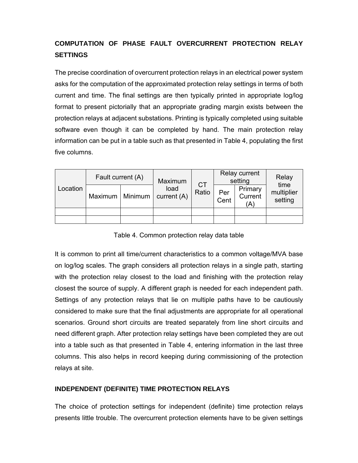# **COMPUTATION OF PHASE FAULT OVERCURRENT PROTECTION RELAY SETTINGS**

The precise coordination of overcurrent protection relays in an electrical power system asks for the computation of the approximated protection relay settings in terms of both current and time. The final settings are then typically printed in appropriate log/log format to present pictorially that an appropriate grading margin exists between the protection relays at adjacent substations. Printing is typically completed using suitable software even though it can be completed by hand. The main protection relay information can be put in a table such as that presented in Table 4, populating the first five columns.

| Location | Fault current (A) |  | Maximum             | <b>CT</b> | Relay current<br>setting |                           | Relay<br>time         |
|----------|-------------------|--|---------------------|-----------|--------------------------|---------------------------|-----------------------|
|          | Maximum   Minimum |  | load<br>current (A) | Ratio     | Per<br>Cent              | Primary<br>Current<br>(A) | multiplier<br>setting |
|          |                   |  |                     |           |                          |                           |                       |
|          |                   |  |                     |           |                          |                           |                       |

Table 4. Common protection relay data table

It is common to print all time/current characteristics to a common voltage/MVA base on log/log scales. The graph considers all protection relays in a single path, starting with the protection relay closest to the load and finishing with the protection relay closest the source of supply. A different graph is needed for each independent path. Settings of any protection relays that lie on multiple paths have to be cautiously considered to make sure that the final adjustments are appropriate for all operational scenarios. Ground short circuits are treated separately from line short circuits and need different graph. After protection relay settings have been completed they are out into a table such as that presented in Table 4, entering information in the last three columns. This also helps in record keeping during commissioning of the protection relays at site.

# **INDEPENDENT (DEFINITE) TIME PROTECTION RELAYS**

The choice of protection settings for independent (definite) time protection relays presents little trouble. The overcurrent protection elements have to be given settings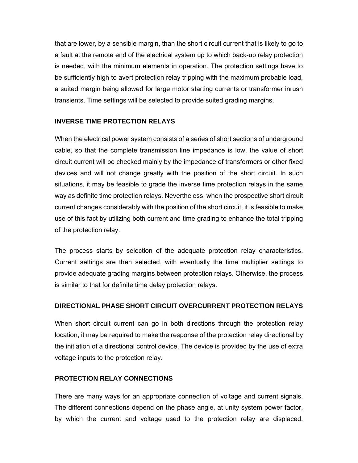that are lower, by a sensible margin, than the short circuit current that is likely to go to a fault at the remote end of the electrical system up to which back-up relay protection is needed, with the minimum elements in operation. The protection settings have to be sufficiently high to avert protection relay tripping with the maximum probable load, a suited margin being allowed for large motor starting currents or transformer inrush transients. Time settings will be selected to provide suited grading margins.

# **INVERSE TIME PROTECTION RELAYS**

When the electrical power system consists of a series of short sections of underground cable, so that the complete transmission line impedance is low, the value of short circuit current will be checked mainly by the impedance of transformers or other fixed devices and will not change greatly with the position of the short circuit. In such situations, it may be feasible to grade the inverse time protection relays in the same way as definite time protection relays. Nevertheless, when the prospective short circuit current changes considerably with the position of the short circuit, it is feasible to make use of this fact by utilizing both current and time grading to enhance the total tripping of the protection relay.

The process starts by selection of the adequate protection relay characteristics. Current settings are then selected, with eventually the time multiplier settings to provide adequate grading margins between protection relays. Otherwise, the process is similar to that for definite time delay protection relays.

#### **DIRECTIONAL PHASE SHORT CIRCUIT OVERCURRENT PROTECTION RELAYS**

When short circuit current can go in both directions through the protection relay location, it may be required to make the response of the protection relay directional by the initiation of a directional control device. The device is provided by the use of extra voltage inputs to the protection relay.

#### **PROTECTION RELAY CONNECTIONS**

There are many ways for an appropriate connection of voltage and current signals. The different connections depend on the phase angle, at unity system power factor, by which the current and voltage used to the protection relay are displaced.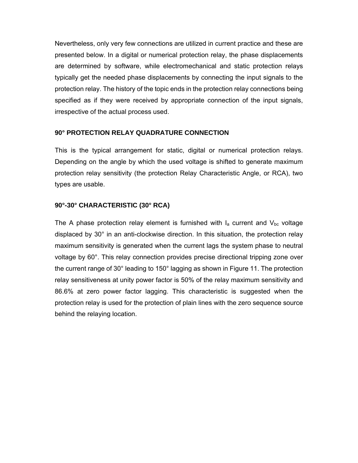Nevertheless, only very few connections are utilized in current practice and these are presented below. In a digital or numerical protection relay, the phase displacements are determined by software, while electromechanical and static protection relays typically get the needed phase displacements by connecting the input signals to the protection relay. The history of the topic ends in the protection relay connections being specified as if they were received by appropriate connection of the input signals, irrespective of the actual process used.

## **90° PROTECTION RELAY QUADRATURE CONNECTION**

This is the typical arrangement for static, digital or numerical protection relays. Depending on the angle by which the used voltage is shifted to generate maximum protection relay sensitivity (the protection Relay Characteristic Angle, or RCA), two types are usable.

# **90°-30° CHARACTERISTIC (30° RCA)**

The A phase protection relay element is furnished with  $I_a$  current and  $V_{bc}$  voltage displaced by 30° in an anti-clockwise direction. In this situation, the protection relay maximum sensitivity is generated when the current lags the system phase to neutral voltage by 60°. This relay connection provides precise directional tripping zone over the current range of 30° leading to 150° lagging as shown in Figure 11. The protection relay sensitiveness at unity power factor is 50% of the relay maximum sensitivity and 86.6% at zero power factor lagging. This characteristic is suggested when the protection relay is used for the protection of plain lines with the zero sequence source behind the relaying location.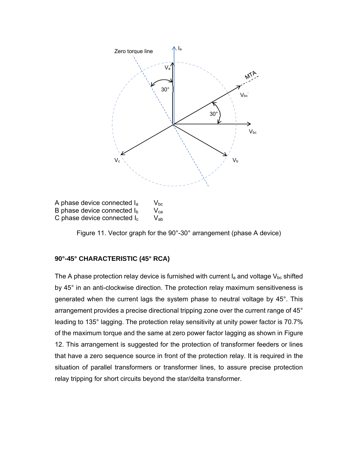

B phase device connected  $I_b$   $V_{ca}$ C phase device connected  $I_c$   $V_{ab}$ 

Figure 11. Vector graph for the 90°-30° arrangement (phase A device)

# **90°-45° CHARACTERISTIC (45° RCA)**

The A phase protection relay device is furnished with current  $I_a$  and voltage  $V_{bc}$  shifted by 45° in an anti-clockwise direction. The protection relay maximum sensitiveness is generated when the current lags the system phase to neutral voltage by 45°. This arrangement provides a precise directional tripping zone over the current range of 45° leading to 135° lagging. The protection relay sensitivity at unity power factor is 70.7% of the maximum torque and the same at zero power factor lagging as shown in Figure 12. This arrangement is suggested for the protection of transformer feeders or lines that have a zero sequence source in front of the protection relay. It is required in the situation of parallel transformers or transformer lines, to assure precise protection relay tripping for short circuits beyond the star/delta transformer.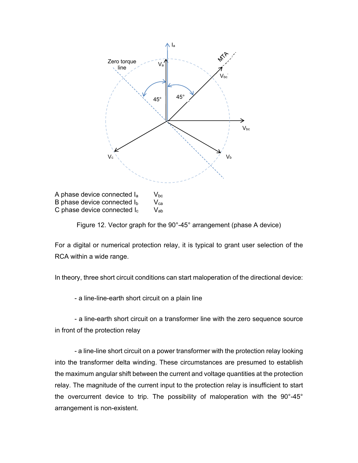

A phase device connected  $I_a$   $V_{bc}$ B phase device connected  $I_b$  V<sub>ca</sub> C phase device connected  $I_c$   $V_{ab}$ 

Figure 12. Vector graph for the 90°-45° arrangement (phase A device)

For a digital or numerical protection relay, it is typical to grant user selection of the RCA within a wide range.

In theory, three short circuit conditions can start maloperation of the directional device:

- a line-line-earth short circuit on a plain line

- a line-earth short circuit on a transformer line with the zero sequence source in front of the protection relay

- a line-line short circuit on a power transformer with the protection relay looking into the transformer delta winding. These circumstances are presumed to establish the maximum angular shift between the current and voltage quantities at the protection relay. The magnitude of the current input to the protection relay is insufficient to start the overcurrent device to trip. The possibility of maloperation with the 90°-45° arrangement is non-existent.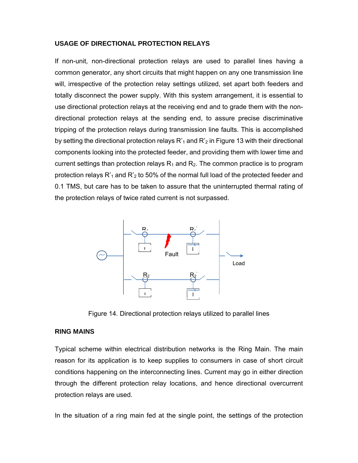#### **USAGE OF DIRECTIONAL PROTECTION RELAYS**

If non-unit, non-directional protection relays are used to parallel lines having a common generator, any short circuits that might happen on any one transmission line will, irrespective of the protection relay settings utilized, set apart both feeders and totally disconnect the power supply. With this system arrangement, it is essential to use directional protection relays at the receiving end and to grade them with the nondirectional protection relays at the sending end, to assure precise discriminative tripping of the protection relays during transmission line faults. This is accomplished by setting the directional protection relays  $R'_1$  and  $R'_2$  in Figure 13 with their directional components looking into the protected feeder, and providing them with lower time and current settings than protection relays  $R_1$  and  $R_2$ . The common practice is to program protection relays  $R'_1$  and  $R'_2$  to 50% of the normal full load of the protected feeder and 0.1 TMS, but care has to be taken to assure that the uninterrupted thermal rating of the protection relays of twice rated current is not surpassed.



Figure 14. Directional protection relays utilized to parallel lines

#### **RING MAINS**

Typical scheme within electrical distribution networks is the Ring Main. The main reason for its application is to keep supplies to consumers in case of short circuit conditions happening on the interconnecting lines. Current may go in either direction through the different protection relay locations, and hence directional overcurrent protection relays are used.

In the situation of a ring main fed at the single point, the settings of the protection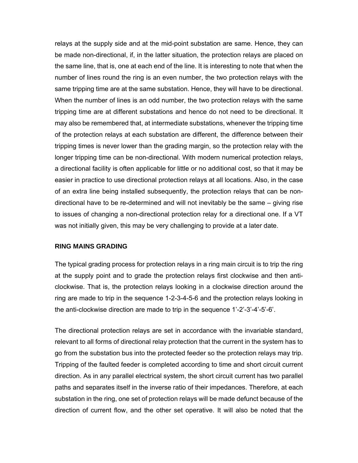relays at the supply side and at the mid-point substation are same. Hence, they can be made non-directional, if, in the latter situation, the protection relays are placed on the same line, that is, one at each end of the line. It is interesting to note that when the number of lines round the ring is an even number, the two protection relays with the same tripping time are at the same substation. Hence, they will have to be directional. When the number of lines is an odd number, the two protection relays with the same tripping time are at different substations and hence do not need to be directional. It may also be remembered that, at intermediate substations, whenever the tripping time of the protection relays at each substation are different, the difference between their tripping times is never lower than the grading margin, so the protection relay with the longer tripping time can be non-directional. With modern numerical protection relays, a directional facility is often applicable for little or no additional cost, so that it may be easier in practice to use directional protection relays at all locations. Also, in the case of an extra line being installed subsequently, the protection relays that can be nondirectional have to be re-determined and will not inevitably be the same – giving rise to issues of changing a non-directional protection relay for a directional one. If a VT was not initially given, this may be very challenging to provide at a later date.

#### **RING MAINS GRADING**

The typical grading process for protection relays in a ring main circuit is to trip the ring at the supply point and to grade the protection relays first clockwise and then anticlockwise. That is, the protection relays looking in a clockwise direction around the ring are made to trip in the sequence 1-2-3-4-5-6 and the protection relays looking in the anti-clockwise direction are made to trip in the sequence 1'-2'-3'-4'-5'-6'.

The directional protection relays are set in accordance with the invariable standard, relevant to all forms of directional relay protection that the current in the system has to go from the substation bus into the protected feeder so the protection relays may trip. Tripping of the faulted feeder is completed according to time and short circuit current direction. As in any parallel electrical system, the short circuit current has two parallel paths and separates itself in the inverse ratio of their impedances. Therefore, at each substation in the ring, one set of protection relays will be made defunct because of the direction of current flow, and the other set operative. It will also be noted that the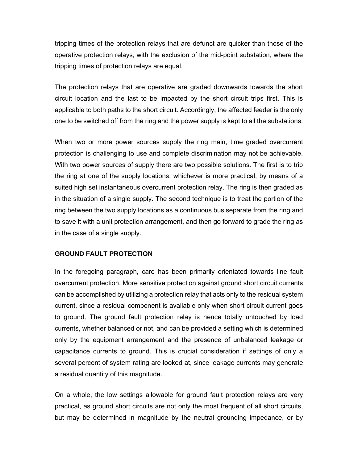tripping times of the protection relays that are defunct are quicker than those of the operative protection relays, with the exclusion of the mid-point substation, where the tripping times of protection relays are equal.

The protection relays that are operative are graded downwards towards the short circuit location and the last to be impacted by the short circuit trips first. This is applicable to both paths to the short circuit. Accordingly, the affected feeder is the only one to be switched off from the ring and the power supply is kept to all the substations.

When two or more power sources supply the ring main, time graded overcurrent protection is challenging to use and complete discrimination may not be achievable. With two power sources of supply there are two possible solutions. The first is to trip the ring at one of the supply locations, whichever is more practical, by means of a suited high set instantaneous overcurrent protection relay. The ring is then graded as in the situation of a single supply. The second technique is to treat the portion of the ring between the two supply locations as a continuous bus separate from the ring and to save it with a unit protection arrangement, and then go forward to grade the ring as in the case of a single supply.

#### **GROUND FAULT PROTECTION**

In the foregoing paragraph, care has been primarily orientated towards line fault overcurrent protection. More sensitive protection against ground short circuit currents can be accomplished by utilizing a protection relay that acts only to the residual system current, since a residual component is available only when short circuit current goes to ground. The ground fault protection relay is hence totally untouched by load currents, whether balanced or not, and can be provided a setting which is determined only by the equipment arrangement and the presence of unbalanced leakage or capacitance currents to ground. This is crucial consideration if settings of only a several percent of system rating are looked at, since leakage currents may generate a residual quantity of this magnitude.

On a whole, the low settings allowable for ground fault protection relays are very practical, as ground short circuits are not only the most frequent of all short circuits, but may be determined in magnitude by the neutral grounding impedance, or by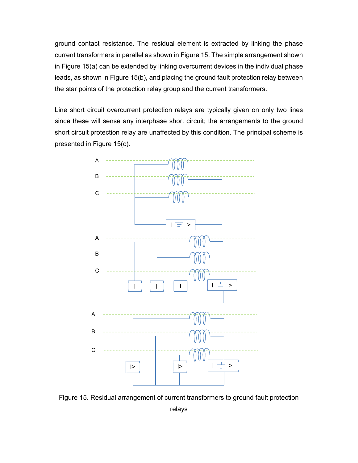ground contact resistance. The residual element is extracted by linking the phase current transformers in parallel as shown in Figure 15. The simple arrangement shown in Figure 15(a) can be extended by linking overcurrent devices in the individual phase leads, as shown in Figure 15(b), and placing the ground fault protection relay between the star points of the protection relay group and the current transformers.

Line short circuit overcurrent protection relays are typically given on only two lines since these will sense any interphase short circuit; the arrangements to the ground short circuit protection relay are unaffected by this condition. The principal scheme is presented in Figure 15(c).



Figure 15. Residual arrangement of current transformers to ground fault protection

relays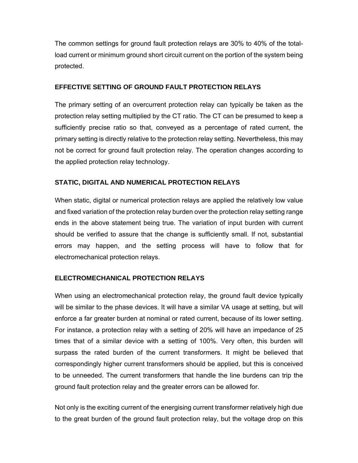The common settings for ground fault protection relays are 30% to 40% of the totalload current or minimum ground short circuit current on the portion of the system being protected.

#### **EFFECTIVE SETTING OF GROUND FAULT PROTECTION RELAYS**

The primary setting of an overcurrent protection relay can typically be taken as the protection relay setting multiplied by the CT ratio. The CT can be presumed to keep a sufficiently precise ratio so that, conveyed as a percentage of rated current, the primary setting is directly relative to the protection relay setting. Nevertheless, this may not be correct for ground fault protection relay. The operation changes according to the applied protection relay technology.

# **STATIC, DIGITAL AND NUMERICAL PROTECTION RELAYS**

When static, digital or numerical protection relays are applied the relatively low value and fixed variation of the protection relay burden over the protection relay setting range ends in the above statement being true. The variation of input burden with current should be verified to assure that the change is sufficiently small. If not, substantial errors may happen, and the setting process will have to follow that for electromechanical protection relays.

# **ELECTROMECHANICAL PROTECTION RELAYS**

When using an electromechanical protection relay, the ground fault device typically will be similar to the phase devices. It will have a similar VA usage at setting, but will enforce a far greater burden at nominal or rated current, because of its lower setting. For instance, a protection relay with a setting of 20% will have an impedance of 25 times that of a similar device with a setting of 100%. Very often, this burden will surpass the rated burden of the current transformers. It might be believed that correspondingly higher current transformers should be applied, but this is conceived to be unneeded. The current transformers that handle the line burdens can trip the ground fault protection relay and the greater errors can be allowed for.

Not only is the exciting current of the energising current transformer relatively high due to the great burden of the ground fault protection relay, but the voltage drop on this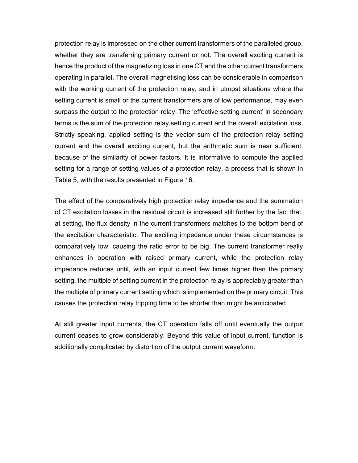protection relay is impressed on the other current transformers of the paralleled group, whether they are transferring primary current or not. The overall exciting current is hence the product of the magnetizing loss in one CT and the other current transformers operating in parallel. The overall magnetising loss can be considerable in comparison with the working current of the protection relay, and in utmost situations where the setting current is small or the current transformers are of low performance, may even surpass the output to the protection relay. The 'effective setting current' in secondary terms is the sum of the protection relay setting current and the overall excitation loss. Strictly speaking, applied setting is the vector sum of the protection relay setting current and the overall exciting current, but the arithmetic sum is near sufficient, because of the similarity of power factors. It is informative to compute the applied setting for a range of setting values of a protection relay, a process that is shown in Table 5, with the results presented in Figure 16.

The effect of the comparatively high protection relay impedance and the summation of CT excitation losses in the residual circuit is increased still further by the fact that, at setting, the flux density in the current transformers matches to the bottom bend of the excitation characteristic. The exciting impedance under these circumstances is comparatively low, causing the ratio error to be big. The current transformer really enhances in operation with raised primary current, while the protection relay impedance reduces until, with an input current few times higher than the primary setting, the multiple of setting current in the protection relay is appreciably greater than the multiple of primary current setting which is implemented on the primary circuit. This causes the protection relay tripping time to be shorter than might be anticipated.

At still greater input currents, the CT operation falls off until eventually the output current ceases to grow considerably. Beyond this value of input current, function is additionally complicated by distortion of the output current waveform.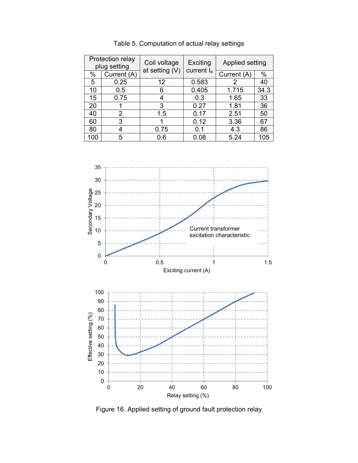| Protection relay<br>plug setting |             | Coil voltage   | Exciting   | Applied setting |      |
|----------------------------------|-------------|----------------|------------|-----------------|------|
| $\%$                             | Current (A) | at setting (V) | current le | Current (A)     | %    |
| 5                                | 0.25        | 12             | 0.583      | 2               | 40   |
| 10                               | 0.5         | 6              | 0.405      | 1.715           | 34.3 |
| 15                               | 0.75        | 4              | 0.3        | 1.65            | 33   |
| 20                               |             | 3              | 0.27       | 1.81            | 36   |
| 40                               | 2           | 1.5            | 0.17       | 2.51            | 50   |
| 60                               | 3           |                | 0.12       | 3.36            | 67   |
| 80                               | 4           | 0.75           | 0.1        | 4.3             | 86   |
| 100                              | 5           | 0.6            | 0.08       | 5.24            | 105  |

Table 5. Computation of actual relay settings



Figure 16. Applied setting of ground fault protection relay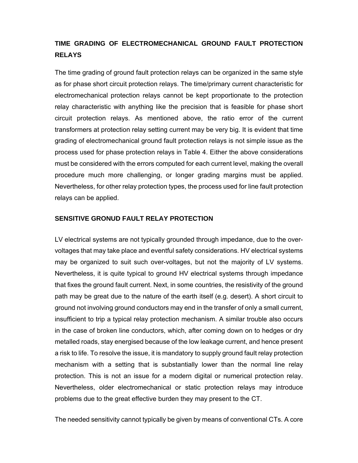# **TIME GRADING OF ELECTROMECHANICAL GROUND FAULT PROTECTION RELAYS**

The time grading of ground fault protection relays can be organized in the same style as for phase short circuit protection relays. The time/primary current characteristic for electromechanical protection relays cannot be kept proportionate to the protection relay characteristic with anything like the precision that is feasible for phase short circuit protection relays. As mentioned above, the ratio error of the current transformers at protection relay setting current may be very big. It is evident that time grading of electromechanical ground fault protection relays is not simple issue as the process used for phase protection relays in Table 4. Either the above considerations must be considered with the errors computed for each current level, making the overall procedure much more challenging, or longer grading margins must be applied. Nevertheless, for other relay protection types, the process used for line fault protection relays can be applied.

# **SENSITIVE GRONUD FAULT RELAY PROTECTION**

LV electrical systems are not typically grounded through impedance, due to the overvoltages that may take place and eventful safety considerations. HV electrical systems may be organized to suit such over-voltages, but not the majority of LV systems. Nevertheless, it is quite typical to ground HV electrical systems through impedance that fixes the ground fault current. Next, in some countries, the resistivity of the ground path may be great due to the nature of the earth itself (e.g. desert). A short circuit to ground not involving ground conductors may end in the transfer of only a small current, insufficient to trip a typical relay protection mechanism. A similar trouble also occurs in the case of broken line conductors, which, after coming down on to hedges or dry metalled roads, stay energised because of the low leakage current, and hence present a risk to life. To resolve the issue, it is mandatory to supply ground fault relay protection mechanism with a setting that is substantially lower than the normal line relay protection. This is not an issue for a modern digital or numerical protection relay. Nevertheless, older electromechanical or static protection relays may introduce problems due to the great effective burden they may present to the CT.

The needed sensitivity cannot typically be given by means of conventional CTs. A core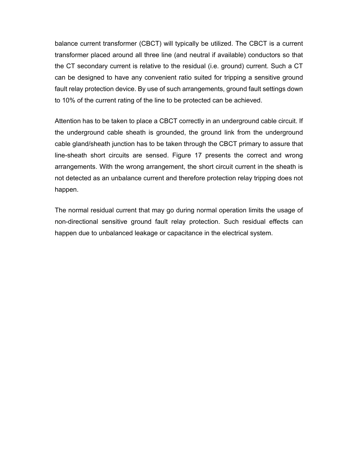balance current transformer (CBCT) will typically be utilized. The CBCT is a current transformer placed around all three line (and neutral if available) conductors so that the CT secondary current is relative to the residual (i.e. ground) current. Such a CT can be designed to have any convenient ratio suited for tripping a sensitive ground fault relay protection device. By use of such arrangements, ground fault settings down to 10% of the current rating of the line to be protected can be achieved.

Attention has to be taken to place a CBCT correctly in an underground cable circuit. If the underground cable sheath is grounded, the ground link from the underground cable gland/sheath junction has to be taken through the CBCT primary to assure that line-sheath short circuits are sensed. Figure 17 presents the correct and wrong arrangements. With the wrong arrangement, the short circuit current in the sheath is not detected as an unbalance current and therefore protection relay tripping does not happen.

The normal residual current that may go during normal operation limits the usage of non-directional sensitive ground fault relay protection. Such residual effects can happen due to unbalanced leakage or capacitance in the electrical system.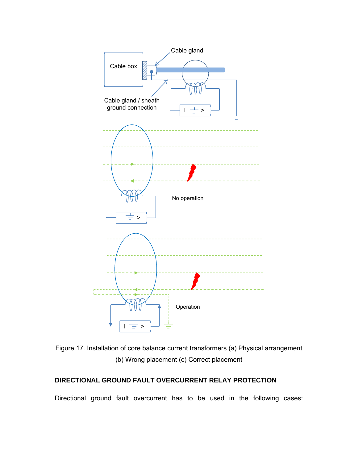

Figure 17. Installation of core balance current transformers (a) Physical arrangement (b) Wrong placement (c) Correct placement

# **DIRECTIONAL GROUND FAULT OVERCURRENT RELAY PROTECTION**

Directional ground fault overcurrent has to be used in the following cases: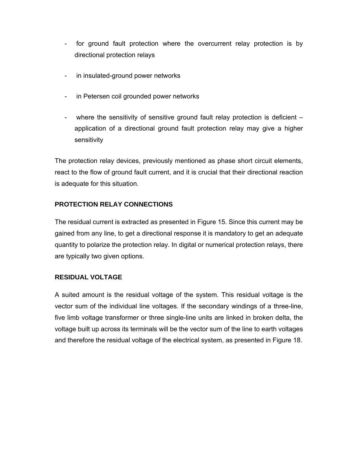- for ground fault protection where the overcurrent relay protection is by directional protection relays
- in insulated-ground power networks
- in Petersen coil grounded power networks
- where the sensitivity of sensitive ground fault relay protection is deficient application of a directional ground fault protection relay may give a higher sensitivity

The protection relay devices, previously mentioned as phase short circuit elements, react to the flow of ground fault current, and it is crucial that their directional reaction is adequate for this situation.

# **PROTECTION RELAY CONNECTIONS**

The residual current is extracted as presented in Figure 15. Since this current may be gained from any line, to get a directional response it is mandatory to get an adequate quantity to polarize the protection relay. In digital or numerical protection relays, there are typically two given options.

# **RESIDUAL VOLTAGE**

A suited amount is the residual voltage of the system. This residual voltage is the vector sum of the individual line voltages. If the secondary windings of a three-line, five limb voltage transformer or three single-line units are linked in broken delta, the voltage built up across its terminals will be the vector sum of the line to earth voltages and therefore the residual voltage of the electrical system, as presented in Figure 18.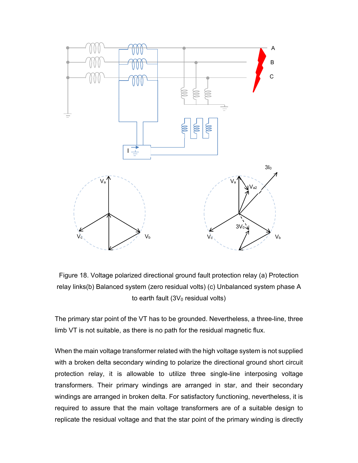

Figure 18. Voltage polarized directional ground fault protection relay (a) Protection relay links(b) Balanced system (zero residual volts) (c) Unbalanced system phase A to earth fault  $(3V_0 \text{ residual volts})$ 

The primary star point of the VT has to be grounded. Nevertheless, a three-line, three limb VT is not suitable, as there is no path for the residual magnetic flux.

When the main voltage transformer related with the high voltage system is not supplied with a broken delta secondary winding to polarize the directional ground short circuit protection relay, it is allowable to utilize three single-line interposing voltage transformers. Their primary windings are arranged in star, and their secondary windings are arranged in broken delta. For satisfactory functioning, nevertheless, it is required to assure that the main voltage transformers are of a suitable design to replicate the residual voltage and that the star point of the primary winding is directly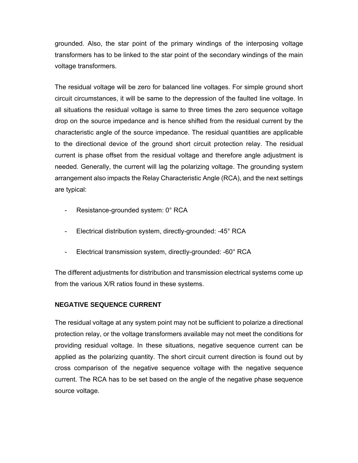grounded. Also, the star point of the primary windings of the interposing voltage transformers has to be linked to the star point of the secondary windings of the main voltage transformers.

The residual voltage will be zero for balanced line voltages. For simple ground short circuit circumstances, it will be same to the depression of the faulted line voltage. In all situations the residual voltage is same to three times the zero sequence voltage drop on the source impedance and is hence shifted from the residual current by the characteristic angle of the source impedance. The residual quantities are applicable to the directional device of the ground short circuit protection relay. The residual current is phase offset from the residual voltage and therefore angle adjustment is needed. Generally, the current will lag the polarizing voltage. The grounding system arrangement also impacts the Relay Characteristic Angle (RCA), and the next settings are typical:

- Resistance-grounded system: 0° RCA
- Electrical distribution system, directly-grounded: -45° RCA
- Electrical transmission system, directly-grounded: -60° RCA

The different adjustments for distribution and transmission electrical systems come up from the various X/R ratios found in these systems.

#### **NEGATIVE SEQUENCE CURRENT**

The residual voltage at any system point may not be sufficient to polarize a directional protection relay, or the voltage transformers available may not meet the conditions for providing residual voltage. In these situations, negative sequence current can be applied as the polarizing quantity. The short circuit current direction is found out by cross comparison of the negative sequence voltage with the negative sequence current. The RCA has to be set based on the angle of the negative phase sequence source voltage.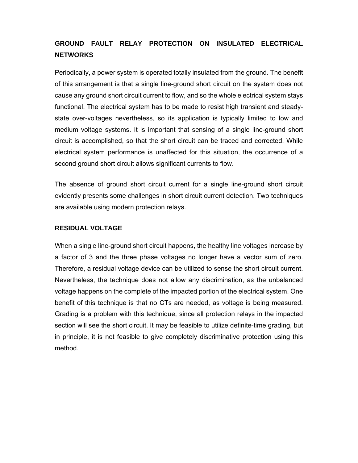# **GROUND FAULT RELAY PROTECTION ON INSULATED ELECTRICAL NETWORKS**

Periodically, a power system is operated totally insulated from the ground. The benefit of this arrangement is that a single line-ground short circuit on the system does not cause any ground short circuit current to flow, and so the whole electrical system stays functional. The electrical system has to be made to resist high transient and steadystate over-voltages nevertheless, so its application is typically limited to low and medium voltage systems. It is important that sensing of a single line-ground short circuit is accomplished, so that the short circuit can be traced and corrected. While electrical system performance is unaffected for this situation, the occurrence of a second ground short circuit allows significant currents to flow.

The absence of ground short circuit current for a single line-ground short circuit evidently presents some challenges in short circuit current detection. Two techniques are available using modern protection relays.

#### **RESIDUAL VOLTAGE**

When a single line-ground short circuit happens, the healthy line voltages increase by a factor of 3 and the three phase voltages no longer have a vector sum of zero. Therefore, a residual voltage device can be utilized to sense the short circuit current. Nevertheless, the technique does not allow any discrimination, as the unbalanced voltage happens on the complete of the impacted portion of the electrical system. One benefit of this technique is that no CTs are needed, as voltage is being measured. Grading is a problem with this technique, since all protection relays in the impacted section will see the short circuit. It may be feasible to utilize definite-time grading, but in principle, it is not feasible to give completely discriminative protection using this method.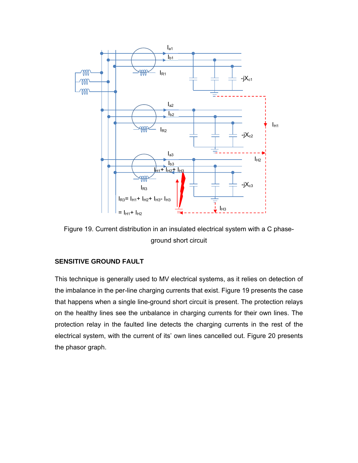

Figure 19. Current distribution in an insulated electrical system with a C phaseground short circuit

#### **SENSITIVE GROUND FAULT**

This technique is generally used to MV electrical systems, as it relies on detection of the imbalance in the per-line charging currents that exist. Figure 19 presents the case that happens when a single line-ground short circuit is present. The protection relays on the healthy lines see the unbalance in charging currents for their own lines. The protection relay in the faulted line detects the charging currents in the rest of the electrical system, with the current of its' own lines cancelled out. Figure 20 presents the phasor graph.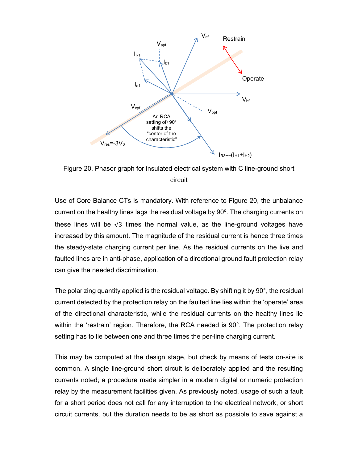

Figure 20. Phasor graph for insulated electrical system with C line-ground short circuit

Use of Core Balance CTs is mandatory. With reference to Figure 20, the unbalance current on the healthy lines lags the residual voltage by 90º. The charging currents on these lines will be  $\sqrt{3}$  times the normal value, as the line-ground voltages have increased by this amount. The magnitude of the residual current is hence three times the steady-state charging current per line. As the residual currents on the live and faulted lines are in anti-phase, application of a directional ground fault protection relay can give the needed discrimination.

The polarizing quantity applied is the residual voltage. By shifting it by 90°, the residual current detected by the protection relay on the faulted line lies within the 'operate' area of the directional characteristic, while the residual currents on the healthy lines lie within the 'restrain' region. Therefore, the RCA needed is 90°. The protection relay setting has to lie between one and three times the per-line charging current.

This may be computed at the design stage, but check by means of tests on-site is common. A single line-ground short circuit is deliberately applied and the resulting currents noted; a procedure made simpler in a modern digital or numeric protection relay by the measurement facilities given. As previously noted, usage of such a fault for a short period does not call for any interruption to the electrical network, or short circuit currents, but the duration needs to be as short as possible to save against a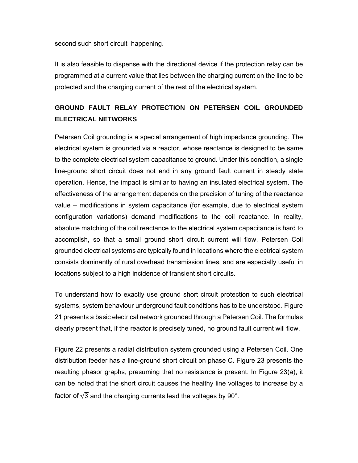second such short circuit happening.

It is also feasible to dispense with the directional device if the protection relay can be programmed at a current value that lies between the charging current on the line to be protected and the charging current of the rest of the electrical system.

# **GROUND FAULT RELAY PROTECTION ON PETERSEN COIL GROUNDED ELECTRICAL NETWORKS**

Petersen Coil grounding is a special arrangement of high impedance grounding. The electrical system is grounded via a reactor, whose reactance is designed to be same to the complete electrical system capacitance to ground. Under this condition, a single line-ground short circuit does not end in any ground fault current in steady state operation. Hence, the impact is similar to having an insulated electrical system. The effectiveness of the arrangement depends on the precision of tuning of the reactance value – modifications in system capacitance (for example, due to electrical system configuration variations) demand modifications to the coil reactance. In reality, absolute matching of the coil reactance to the electrical system capacitance is hard to accomplish, so that a small ground short circuit current will flow. Petersen Coil grounded electrical systems are typically found in locations where the electrical system consists dominantly of rural overhead transmission lines, and are especially useful in locations subject to a high incidence of transient short circuits.

To understand how to exactly use ground short circuit protection to such electrical systems, system behaviour underground fault conditions has to be understood. Figure 21 presents a basic electrical network grounded through a Petersen Coil. The formulas clearly present that, if the reactor is precisely tuned, no ground fault current will flow.

Figure 22 presents a radial distribution system grounded using a Petersen Coil. One distribution feeder has a line-ground short circuit on phase C. Figure 23 presents the resulting phasor graphs, presuming that no resistance is present. In Figure 23(a), it can be noted that the short circuit causes the healthy line voltages to increase by a factor of  $\sqrt{3}$  and the charging currents lead the voltages by 90°.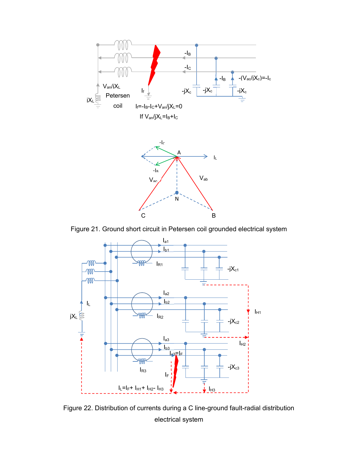



Figure 21. Ground short circuit in Petersen coil grounded electrical system



Figure 22. Distribution of currents during a C line-ground fault-radial distribution electrical system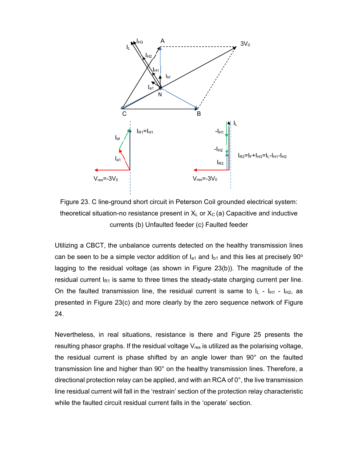

Figure 23. C line-ground short circuit in Peterson Coil grounded electrical system: theoretical situation-no resistance present in  $X_L$  or  $X_C$  (a) Capacitive and inductive currents (b) Unfaulted feeder (c) Faulted feeder

Utilizing a CBCT, the unbalance currents detected on the healthy transmission lines can be seen to be a simple vector addition of  $I_{a1}$  and  $I_{b1}$  and this lies at precisely 90<sup>o</sup> lagging to the residual voltage (as shown in Figure 23(b)). The magnitude of the residual current  $I_{R1}$  is same to three times the steady-state charging current per line. On the faulted transmission line, the residual current is same to  $I_L - I_{H1} - I_{H2}$ , as presented in Figure 23(c) and more clearly by the zero sequence network of Figure 24.

Nevertheless, in real situations, resistance is there and Figure 25 presents the resulting phasor graphs. If the residual voltage  $V_{res}$  is utilized as the polarising voltage, the residual current is phase shifted by an angle lower than 90° on the faulted transmission line and higher than 90° on the healthy transmission lines. Therefore, a directional protection relay can be applied, and with an RCA of 0°, the live transmission line residual current will fall in the 'restrain' section of the protection relay characteristic while the faulted circuit residual current falls in the 'operate' section.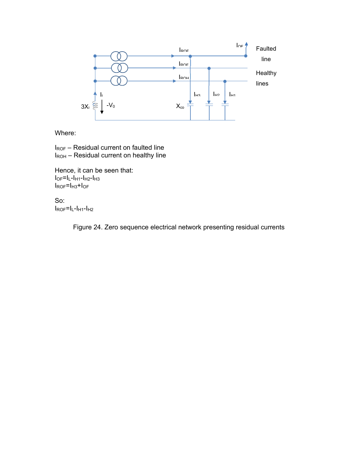

Where:

IROF – Residual current on faulted line  $I_{\text{ROH}}$  – Residual current on healthy line

Hence, it can be seen that:  $I<sub>OF</sub>=I<sub>L</sub>-I<sub>H1</sub>-I<sub>H2</sub>-I<sub>H3</sub>$ IROF=IH3+IOF

So: IROF=IL-IH1-IH2

Figure 24. Zero sequence electrical network presenting residual currents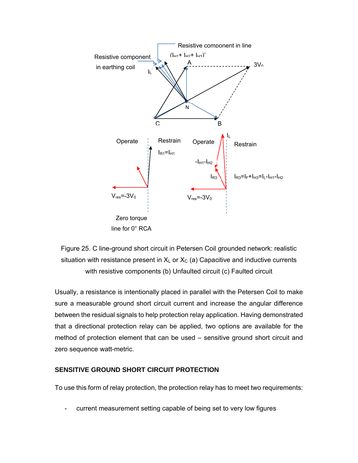

Figure 25. C line-ground short circuit in Petersen Coil grounded network: realistic situation with resistance present in  $X_L$  or  $X_C$  (a) Capacitive and inductive currents with resistive components (b) Unfaulted circuit (c) Faulted circuit

Usually, a resistance is intentionally placed in parallel with the Petersen Coil to make sure a measurable ground short circuit current and increase the angular difference between the residual signals to help protection relay application. Having demonstrated that a directional protection relay can be applied, two options are available for the method of protection element that can be used – sensitive ground short circuit and zero sequence watt-metric.

# **SENSITIVE GROUND SHORT CIRCUIT PROTECTION**

To use this form of relay protection, the protection relay has to meet two requirements:

current measurement setting capable of being set to very low figures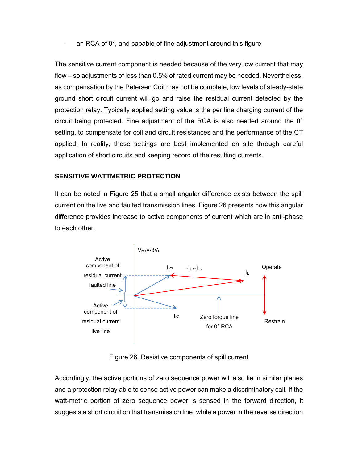an RCA of  $0^\circ$ , and capable of fine adjustment around this figure

The sensitive current component is needed because of the very low current that may flow – so adjustments of less than 0.5% of rated current may be needed. Nevertheless, as compensation by the Petersen Coil may not be complete, low levels of steady-state ground short circuit current will go and raise the residual current detected by the protection relay. Typically applied setting value is the per line charging current of the circuit being protected. Fine adjustment of the RCA is also needed around the 0° setting, to compensate for coil and circuit resistances and the performance of the CT applied. In reality, these settings are best implemented on site through careful application of short circuits and keeping record of the resulting currents.

#### **SENSITIVE WATTMETRIC PROTECTION**

It can be noted in Figure 25 that a small angular difference exists between the spill current on the live and faulted transmission lines. Figure 26 presents how this angular difference provides increase to active components of current which are in anti-phase to each other.



Figure 26. Resistive components of spill current

Accordingly, the active portions of zero sequence power will also lie in similar planes and a protection relay able to sense active power can make a discriminatory call. If the watt-metric portion of zero sequence power is sensed in the forward direction, it suggests a short circuit on that transmission line, while a power in the reverse direction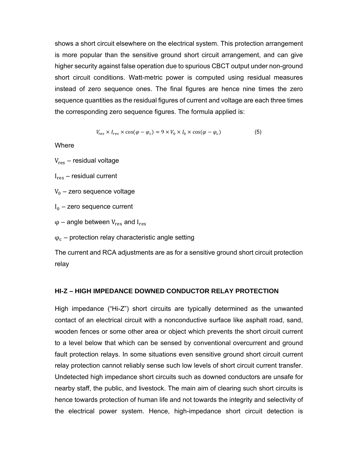shows a short circuit elsewhere on the electrical system. This protection arrangement is more popular than the sensitive ground short circuit arrangement, and can give higher security against false operation due to spurious CBCT output under non-ground short circuit conditions. Watt-metric power is computed using residual measures instead of zero sequence ones. The final figures are hence nine times the zero sequence quantities as the residual figures of current and voltage are each three times the corresponding zero sequence figures. The formula applied is:

$$
V_{res} \times I_{res} \times \cos(\varphi - \varphi_c) = 9 \times V_0 \times I_0 \times \cos(\varphi - \varphi_c)
$$
 (5)

Where

 $V_{res}$  – residual voltage

 $I_{res}$  – residual current

 $V_0$  – zero sequence voltage

 $I_0$  – zero sequence current

 $\varphi$  – angle between  $V_{res}$  and  $I_{res}$ 

 $\varphi_c$  – protection relay characteristic angle setting

The current and RCA adjustments are as for a sensitive ground short circuit protection relay

#### **HI-Z – HIGH IMPEDANCE DOWNED CONDUCTOR RELAY PROTECTION**

High impedance ("Hi-Z") short circuits are typically determined as the unwanted contact of an electrical circuit with a nonconductive surface like asphalt road, sand, wooden fences or some other area or object which prevents the short circuit current to a level below that which can be sensed by conventional overcurrent and ground fault protection relays. In some situations even sensitive ground short circuit current relay protection cannot reliably sense such low levels of short circuit current transfer. Undetected high impedance short circuits such as downed conductors are unsafe for nearby staff, the public, and livestock. The main aim of clearing such short circuits is hence towards protection of human life and not towards the integrity and selectivity of the electrical power system. Hence, high-impedance short circuit detection is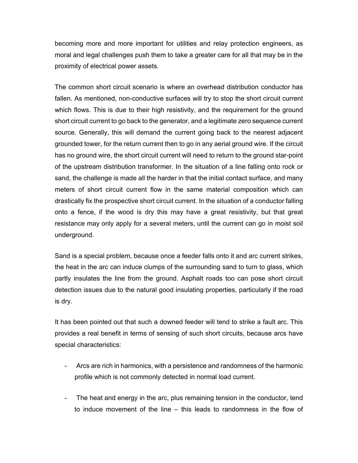becoming more and more important for utilities and relay protection engineers, as moral and legal challenges push them to take a greater care for all that may be in the proximity of electrical power assets.

The common short circuit scenario is where an overhead distribution conductor has fallen. As mentioned, non-conductive surfaces will try to stop the short circuit current which flows. This is due to their high resistivity, and the requirement for the ground short circuit current to go back to the generator, and a legitimate zero sequence current source. Generally, this will demand the current going back to the nearest adjacent grounded tower, for the return current then to go in any aerial ground wire. If the circuit has no ground wire, the short circuit current will need to return to the ground star-point of the upstream distribution transformer. In the situation of a line falling onto rock or sand, the challenge is made all the harder in that the initial contact surface, and many meters of short circuit current flow in the same material composition which can drastically fix the prospective short circuit current. In the situation of a conductor falling onto a fence, if the wood is dry this may have a great resistivity, but that great resistance may only apply for a several meters, until the current can go in moist soil underground.

Sand is a special problem, because once a feeder falls onto it and arc current strikes, the heat in the arc can induce clumps of the surrounding sand to turn to glass, which partly insulates the line from the ground. Asphalt roads too can pose short circuit detection issues due to the natural good insulating properties, particularly if the road is dry.

It has been pointed out that such a downed feeder will tend to strike a fault arc. This provides a real benefit in terms of sensing of such short circuits, because arcs have special characteristics:

- Arcs are rich in harmonics, with a persistence and randomness of the harmonic profile which is not commonly detected in normal load current.
- The heat and energy in the arc, plus remaining tension in the conductor, tend to induce movement of the line – this leads to randomness in the flow of